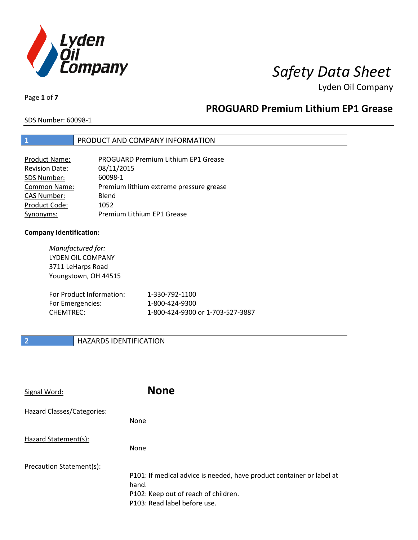

# *Safety Data Sheet*

Lyden Oil Company

Page **1** of **7**

# **PROGUARD Premium Lithium EP1 Grease**

SDS Number: 60098-1

### **1** PRODUCT AND COMPANY INFORMATION

| <b>Product Name:</b>  | <b>PROGUARD Premium Lithium EP1 Grease</b> |
|-----------------------|--------------------------------------------|
| <b>Revision Date:</b> | 08/11/2015                                 |
| SDS Number:           | 60098-1                                    |
| <b>Common Name:</b>   | Premium lithium extreme pressure grease    |
| <b>CAS Number:</b>    | Blend                                      |
| Product Code:         | 1052                                       |
| Synonyms:             | Premium Lithium EP1 Grease                 |

#### **Company Identification:**

| Manufactured for:<br><b>LYDEN OIL COMPANY</b><br>3711 LeHarps Road<br>Youngstown, OH 44515 |                                  |
|--------------------------------------------------------------------------------------------|----------------------------------|
| For Product Information:                                                                   | 1-330-792-1100                   |
| For Emergencies:                                                                           | 1-800-424-9300                   |
| CHFMTRFC:                                                                                  | 1-800-424-9300 or 1-703-527-3887 |

### **2 HAZARDS IDENTIFICATION**

| Signal Word:               | <b>None</b>                                                                                                                                            |
|----------------------------|--------------------------------------------------------------------------------------------------------------------------------------------------------|
| Hazard Classes/Categories: | <b>None</b>                                                                                                                                            |
| Hazard Statement(s):       | <b>None</b>                                                                                                                                            |
| Precaution Statement(s):   | P101: If medical advice is needed, have product container or label at<br>hand.<br>P102: Keep out of reach of children.<br>P103: Read label before use. |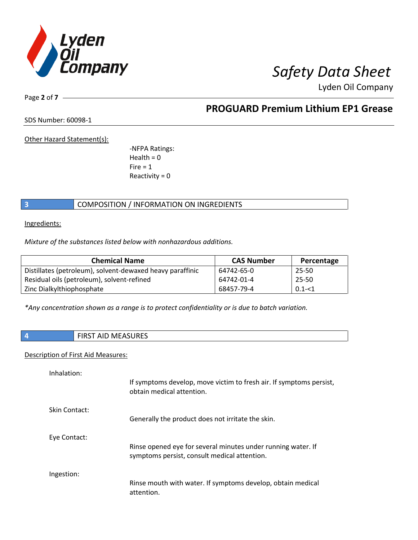

Lyden Oil Company

Page **2** of **7**

# **PROGUARD Premium Lithium EP1 Grease**

SDS Number: 60098-1

Other Hazard Statement(s):

-NFPA Ratings:  $Health = 0$  $Fire = 1$ Reactivity  $= 0$ 

### **3** COMPOSITION / INFORMATION ON INGREDIENTS

Ingredients:

*Mixture of the substances listed below with nonhazardous additions.*

| <b>Chemical Name</b>                                      | <b>CAS Number</b> | Percentage |
|-----------------------------------------------------------|-------------------|------------|
| Distillates (petroleum), solvent-dewaxed heavy paraffinic | 64742-65-0        | 25-50      |
| Residual oils (petroleum), solvent-refined                | 64742-01-4        | 25-50      |
| Zinc Dialkylthiophosphate                                 | 68457-79-4        | $0.1 - 1$  |

*\*Any concentration shown as a range is to protect confidentiality or is due to batch variation.*

| IDFC<br>w<br>ᄖ<br>ت با ۱۱. |
|----------------------------|
|                            |

### Description of First Aid Measures:

| Inhalation:   | If symptoms develop, move victim to fresh air. If symptoms persist,<br>obtain medical attention.             |
|---------------|--------------------------------------------------------------------------------------------------------------|
| Skin Contact: | Generally the product does not irritate the skin.                                                            |
| Eye Contact:  | Rinse opened eye for several minutes under running water. If<br>symptoms persist, consult medical attention. |
| Ingestion:    | Rinse mouth with water. If symptoms develop, obtain medical<br>attention.                                    |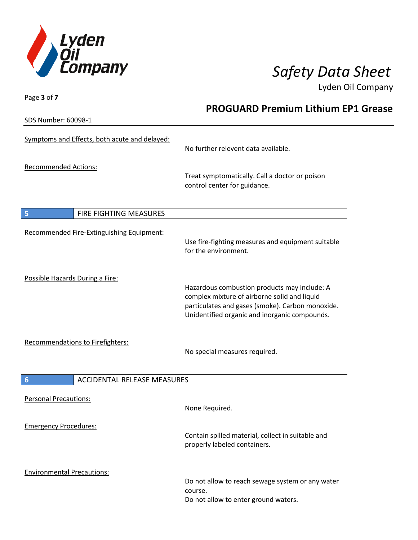

Lyden Oil Company

SDS Number: 60098-1

Page **3** of **7**

# **PROGUARD Premium Lithium EP1 Grease**

| <b>JUJ INUITIDEL. 000JO-T</b>                         |                                                                                                                                                                                                   |
|-------------------------------------------------------|---------------------------------------------------------------------------------------------------------------------------------------------------------------------------------------------------|
| Symptoms and Effects, both acute and delayed:         | No further relevent data available.                                                                                                                                                               |
| <b>Recommended Actions:</b>                           | Treat symptomatically. Call a doctor or poison<br>control center for guidance.                                                                                                                    |
| FIRE FIGHTING MEASURES<br>$\sqrt{5}$                  |                                                                                                                                                                                                   |
| Recommended Fire-Extinguishing Equipment:             | Use fire-fighting measures and equipment suitable<br>for the environment.                                                                                                                         |
| Possible Hazards During a Fire:                       | Hazardous combustion products may include: A<br>complex mixture of airborne solid and liquid<br>particulates and gases (smoke). Carbon monoxide.<br>Unidentified organic and inorganic compounds. |
| Recommendations to Firefighters:                      | No special measures required.                                                                                                                                                                     |
| $6\phantom{1}6$<br><b>ACCIDENTAL RELEASE MEASURES</b> |                                                                                                                                                                                                   |
| <b>Personal Precautions:</b>                          | None Required.                                                                                                                                                                                    |
| <b>Emergency Procedures:</b>                          | Contain spilled material, collect in suitable and<br>properly labeled containers.                                                                                                                 |
| <b>Environmental Precautions:</b>                     | Do not allow to reach sewage system or any water<br>course.<br>Do not allow to enter ground waters.                                                                                               |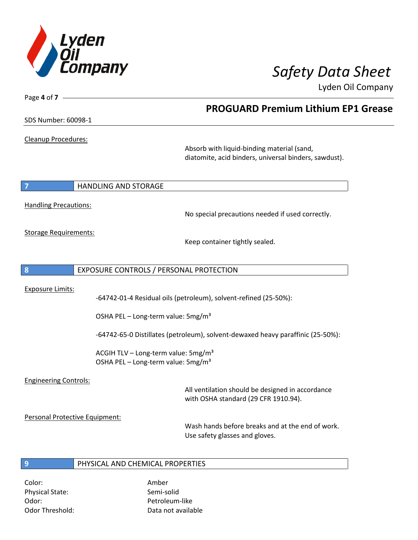

**PROGUARD Premium Lithium EP1 Grease**

Lyden Oil Company

SDS Number: 60098-1

Page **4** of **7**

Cleanup Procedures:

Absorb with liquid-binding material (sand, diatomite, acid binders, universal binders, sawdust).

**7 HANDLING AND STORAGE** 

Handling Precautions:

No special precautions needed if used correctly.

Storage Requirements:

Keep container tightly sealed.

**8** EXPOSURE CONTROLS / PERSONAL PROTECTION

Exposure Limits:

-64742-01-4 Residual oils (petroleum), solvent-refined (25-50%):

OSHA PEL – Long-term value: 5mg/m<sup>3</sup>

-64742-65-0 Distillates (petroleum), solvent-dewaxed heavy paraffinic (25-50%):

ACGIH TLV – Long-term value:  $5mg/m<sup>3</sup>$ OSHA PEL – Long-term value: 5mg/m<sup>3</sup>

### Engineering Controls:

All ventilation should be designed in accordance with OSHA standard (29 CFR 1910.94).

Personal Protective Equipment:

Wash hands before breaks and at the end of work. Use safety glasses and gloves.

### **9** PHYSICAL AND CHEMICAL PROPERTIES

Color: Amber Physical State: Semi-solid Odor: Petroleum-like

Odor Threshold: Data not available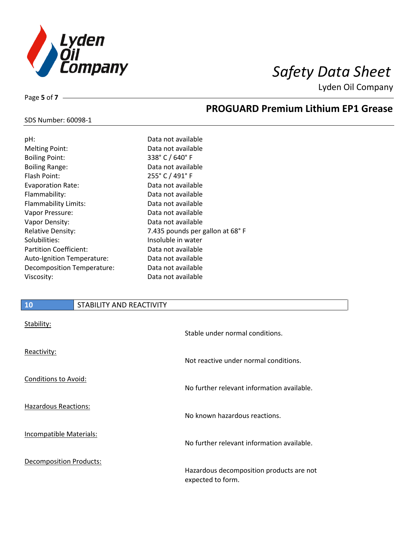

**PROGUARD Premium Lithium EP1 Grease**

Lyden Oil Company

#### SDS Number: 60098-1

Page **5** of **7**

| Data not available              |
|---------------------------------|
| Data not available              |
| 338° C / 640° F                 |
| Data not available              |
| 255° C / 491° F                 |
| Data not available              |
| Data not available              |
| Data not available              |
| Data not available              |
| Data not available              |
| 7.435 pounds per gallon at 68°F |
| Insoluble in water              |
| Data not available              |
| Data not available              |
| Data not available              |
| Data not available              |
|                                 |

### **10** STABILITY AND REACTIVITY

| Stability:                     | Stable under normal conditions.                               |
|--------------------------------|---------------------------------------------------------------|
| Reactivity:                    | Not reactive under normal conditions.                         |
| Conditions to Avoid:           | No further relevant information available.                    |
| Hazardous Reactions:           | No known hazardous reactions.                                 |
| <b>Incompatible Materials:</b> | No further relevant information available.                    |
| Decomposition Products:        | Hazardous decomposition products are not<br>expected to form. |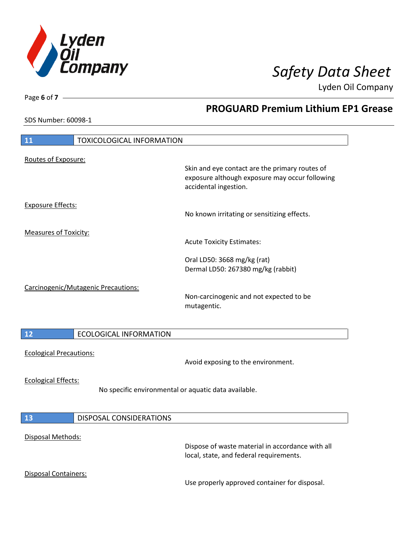

**PROGUARD Premium Lithium EP1 Grease**

Lyden Oil Company

SDS Number: 60098-1

Page **6** of **7**

| 11                             | <b>TOXICOLOGICAL INFORMATION</b>                     |                                                                                                                           |
|--------------------------------|------------------------------------------------------|---------------------------------------------------------------------------------------------------------------------------|
| Routes of Exposure:            |                                                      | Skin and eye contact are the primary routes of<br>exposure although exposure may occur following<br>accidental ingestion. |
| <b>Exposure Effects:</b>       |                                                      | No known irritating or sensitizing effects.                                                                               |
| <b>Measures of Toxicity:</b>   |                                                      | <b>Acute Toxicity Estimates:</b>                                                                                          |
|                                |                                                      | Oral LD50: 3668 mg/kg (rat)<br>Dermal LD50: 267380 mg/kg (rabbit)                                                         |
|                                | Carcinogenic/Mutagenic Precautions:                  | Non-carcinogenic and not expected to be<br>mutagentic.                                                                    |
| 12                             | <b>ECOLOGICAL INFORMATION</b>                        |                                                                                                                           |
| <b>Ecological Precautions:</b> |                                                      | Avoid exposing to the environment.                                                                                        |
| <b>Ecological Effects:</b>     | No specific environmental or aquatic data available. |                                                                                                                           |
| 13                             | <b>DISPOSAL CONSIDERATIONS</b>                       |                                                                                                                           |
|                                |                                                      |                                                                                                                           |
| Disposal Methods:              |                                                      | Dispose of waste material in accordance with all<br>local, state, and federal requirements.                               |
| <b>Disposal Containers:</b>    |                                                      | Use properly approved container for disposal.                                                                             |